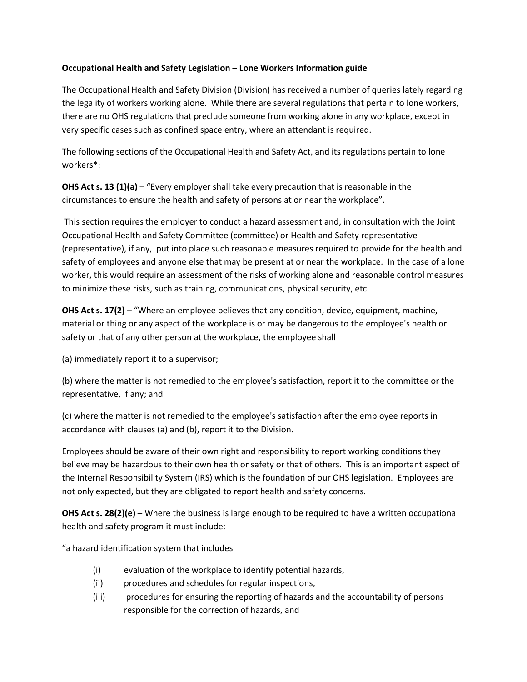## **Occupational Health and Safety Legislation – Lone Workers Information guide**

The Occupational Health and Safety Division (Division) has received a number of queries lately regarding the legality of workers working alone. While there are several regulations that pertain to lone workers, there are no OHS regulations that preclude someone from working alone in any workplace, except in very specific cases such as confined space entry, where an attendant is required.

The following sections of the Occupational Health and Safety Act, and its regulations pertain to lone workers\*:

**OHS Act s. 13 (1)(a)** – "Every employer shall take every precaution that is reasonable in the circumstances to ensure the health and safety of persons at or near the workplace".

This section requires the employer to conduct a hazard assessment and, in consultation with the Joint Occupational Health and Safety Committee (committee) or Health and Safety representative (representative), if any, put into place such reasonable measures required to provide for the health and safety of employees and anyone else that may be present at or near the workplace. In the case of a lone worker, this would require an assessment of the risks of working alone and reasonable control measures to minimize these risks, such as training, communications, physical security, etc.

**OHS Act s. 17(2)** – "Where an employee believes that any condition, device, equipment, machine, material or thing or any aspect of the workplace is or may be dangerous to the employee's health or safety or that of any other person at the workplace, the employee shall

(a) immediately report it to a supervisor;

(b) where the matter is not remedied to the employee's satisfaction, report it to the committee or the representative, if any; and

(c) where the matter is not remedied to the employee's satisfaction after the employee reports in accordance with clauses (a) and (b), report it to the Division.

Employees should be aware of their own right and responsibility to report working conditions they believe may be hazardous to their own health or safety or that of others. This is an important aspect of the Internal Responsibility System (IRS) which is the foundation of our OHS legislation. Employees are not only expected, but they are obligated to report health and safety concerns.

**OHS Act s. 28(2)(e)** – Where the business is large enough to be required to have a written occupational health and safety program it must include:

"a hazard identification system that includes

- (i) evaluation of the workplace to identify potential hazards,
- (ii) procedures and schedules for regular inspections,
- (iii) procedures for ensuring the reporting of hazards and the accountability of persons responsible for the correction of hazards, and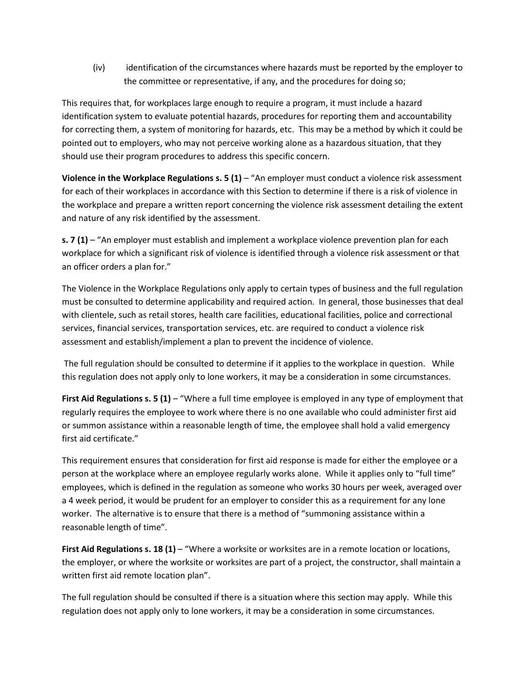(iv) identification of the circumstances where hazards must be reported by the employer to the committee or representative, if any, and the procedures for doing so;

This requires that, for workplaces large enough to require a program, it must include a hazard identification system to evaluate potential hazards, procedures for reporting them and accountability for correcting them, a system of monitoring for hazards, etc. This may be a method by which it could be pointed out to employers, who may not perceive working alone as a hazardous situation, that they should use their program procedures to address this specific concern.

**Violence in the Workplace Regulations s. 5 (1)** – "An employer must conduct a violence risk assessment for each of their workplaces in accordance with this Section to determine if there is a risk of violence in the workplace and prepare a written report concerning the violence risk assessment detailing the extent and nature of any risk identified by the assessment.

**s. 7 (1)** – "An employer must establish and implement a workplace violence prevention plan for each workplace for which a significant risk of violence is identified through a violence risk assessment or that an officer orders a plan for."

The Violence in the Workplace Regulations only apply to certain types of business and the full regulation must be consulted to determine applicability and required action. In general, those businesses that deal with clientele, such as retail stores, health care facilities, educational facilities, police and correctional services, financial services, transportation services, etc. are required to conduct a violence risk assessment and establish/implement a plan to prevent the incidence of violence.

The full regulation should be consulted to determine if it applies to the workplace in question. While this regulation does not apply only to lone workers, it may be a consideration in some circumstances.

**First Aid Regulations s. 5 (1)** – "Where a full time employee is employed in any type of employment that regularly requires the employee to work where there is no one available who could administer first aid or summon assistance within a reasonable length of time, the employee shall hold a valid emergency first aid certificate."

This requirement ensures that consideration for first aid response is made for either the employee or a person at the workplace where an employee regularly works alone. While it applies only to "full time" employees, which is defined in the regulation as someone who works 30 hours per week, averaged over a 4 week period, it would be prudent for an employer to consider this as a requirement for any lone worker. The alternative is to ensure that there is a method of "summoning assistance within a reasonable length of time".

**First Aid Regulations s. 18 (1)** – "Where a worksite or worksites are in a remote location or locations, the employer, or where the worksite or worksites are part of a project, the constructor, shall maintain a written first aid remote location plan".

The full regulation should be consulted if there is a situation where this section may apply. While this regulation does not apply only to lone workers, it may be a consideration in some circumstances.